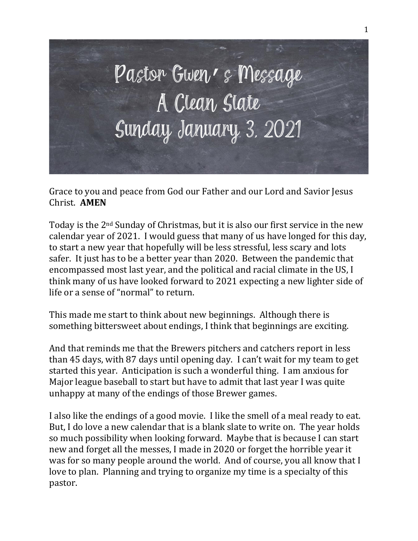

Grace to you and peace from God our Father and our Lord and Savior Jesus Christ. **AMEN**

Today is the 2nd Sunday of Christmas, but it is also our first service in the new calendar year of 2021. I would guess that many of us have longed for this day, to start a new year that hopefully will be less stressful, less scary and lots safer. It just has to be a better year than 2020. Between the pandemic that encompassed most last year, and the political and racial climate in the US, I think many of us have looked forward to 2021 expecting a new lighter side of life or a sense of "normal" to return.

This made me start to think about new beginnings. Although there is something bittersweet about endings, I think that beginnings are exciting.

And that reminds me that the Brewers pitchers and catchers report in less than 45 days, with 87 days until opening day. I can't wait for my team to get started this year. Anticipation is such a wonderful thing. I am anxious for Major league baseball to start but have to admit that last year I was quite unhappy at many of the endings of those Brewer games.

I also like the endings of a good movie. I like the smell of a meal ready to eat. But, I do love a new calendar that is a blank slate to write on. The year holds so much possibility when looking forward. Maybe that is because I can start new and forget all the messes, I made in 2020 or forget the horrible year it was for so many people around the world. And of course, you all know that I love to plan. Planning and trying to organize my time is a specialty of this pastor.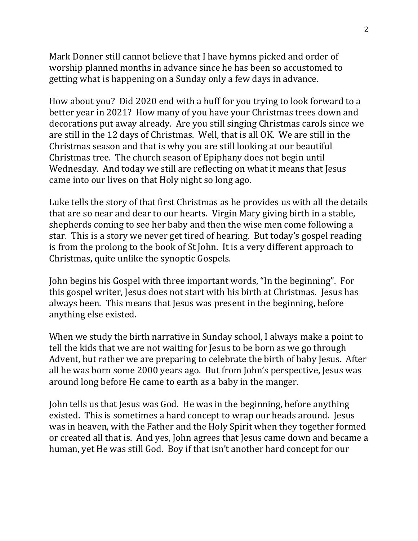Mark Donner still cannot believe that I have hymns picked and order of worship planned months in advance since he has been so accustomed to getting what is happening on a Sunday only a few days in advance.

How about you? Did 2020 end with a huff for you trying to look forward to a better year in 2021? How many of you have your Christmas trees down and decorations put away already. Are you still singing Christmas carols since we are still in the 12 days of Christmas. Well, that is all OK. We are still in the Christmas season and that is why you are still looking at our beautiful Christmas tree. The church season of Epiphany does not begin until Wednesday. And today we still are reflecting on what it means that Jesus came into our lives on that Holy night so long ago.

Luke tells the story of that first Christmas as he provides us with all the details that are so near and dear to our hearts. Virgin Mary giving birth in a stable, shepherds coming to see her baby and then the wise men come following a star. This is a story we never get tired of hearing. But today's gospel reading is from the prolong to the book of St John. It is a very different approach to Christmas, quite unlike the synoptic Gospels.

John begins his Gospel with three important words, "In the beginning". For this gospel writer, Jesus does not start with his birth at Christmas. Jesus has always been. This means that Jesus was present in the beginning, before anything else existed.

When we study the birth narrative in Sunday school, I always make a point to tell the kids that we are not waiting for Jesus to be born as we go through Advent, but rather we are preparing to celebrate the birth of baby Jesus. After all he was born some 2000 years ago. But from John's perspective, Jesus was around long before He came to earth as a baby in the manger.

John tells us that Jesus was God. He was in the beginning, before anything existed. This is sometimes a hard concept to wrap our heads around. Jesus was in heaven, with the Father and the Holy Spirit when they together formed or created all that is. And yes, John agrees that Jesus came down and became a human, yet He was still God. Boy if that isn't another hard concept for our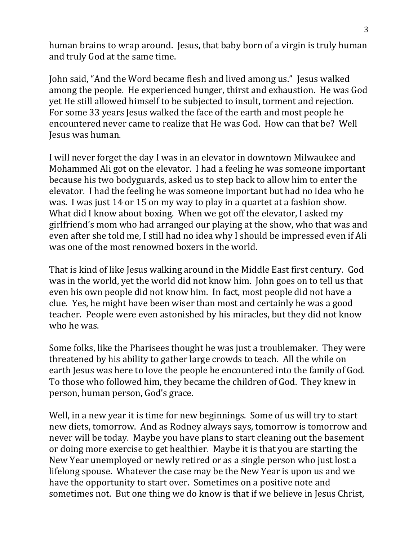human brains to wrap around. Jesus, that baby born of a virgin is truly human and truly God at the same time.

John said, "And the Word became flesh and lived among us." Jesus walked among the people. He experienced hunger, thirst and exhaustion. He was God yet He still allowed himself to be subjected to insult, torment and rejection. For some 33 years Jesus walked the face of the earth and most people he encountered never came to realize that He was God. How can that be? Well Jesus was human.

I will never forget the day I was in an elevator in downtown Milwaukee and Mohammed Ali got on the elevator. I had a feeling he was someone important because his two bodyguards, asked us to step back to allow him to enter the elevator. I had the feeling he was someone important but had no idea who he was. I was just 14 or 15 on my way to play in a quartet at a fashion show. What did I know about boxing. When we got off the elevator, I asked my girlfriend's mom who had arranged our playing at the show, who that was and even after she told me, I still had no idea why I should be impressed even if Ali was one of the most renowned boxers in the world.

That is kind of like Jesus walking around in the Middle East first century. God was in the world, yet the world did not know him. John goes on to tell us that even his own people did not know him. In fact, most people did not have a clue. Yes, he might have been wiser than most and certainly he was a good teacher. People were even astonished by his miracles, but they did not know who he was.

Some folks, like the Pharisees thought he was just a troublemaker. They were threatened by his ability to gather large crowds to teach. All the while on earth Jesus was here to love the people he encountered into the family of God. To those who followed him, they became the children of God. They knew in person, human person, God's grace.

Well, in a new year it is time for new beginnings. Some of us will try to start new diets, tomorrow. And as Rodney always says, tomorrow is tomorrow and never will be today. Maybe you have plans to start cleaning out the basement or doing more exercise to get healthier. Maybe it is that you are starting the New Year unemployed or newly retired or as a single person who just lost a lifelong spouse. Whatever the case may be the New Year is upon us and we have the opportunity to start over. Sometimes on a positive note and sometimes not. But one thing we do know is that if we believe in Jesus Christ,